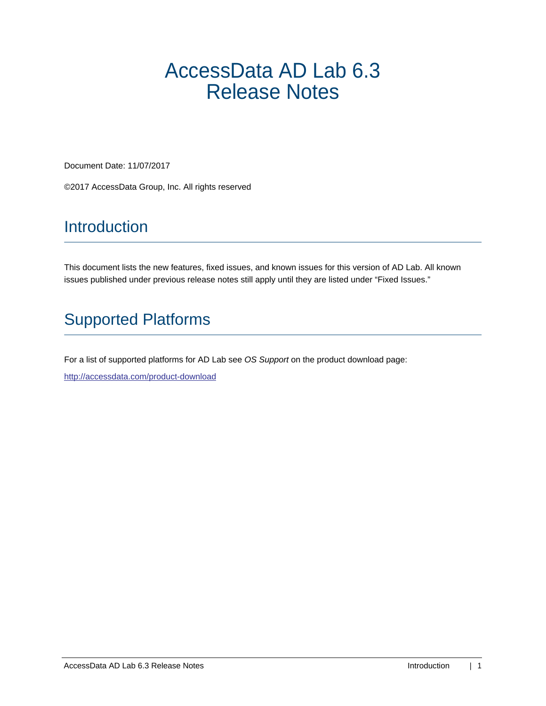# AccessData AD Lab 6.3 Release Notes

Document Date: 11/07/2017

©2017 AccessData Group, Inc. All rights reserved

# Introduction

This document lists the new features, fixed issues, and known issues for this version of AD Lab. All known issues published under previous release notes still apply until they are listed under "Fixed Issues."

# Supported Platforms

For a list of supported platforms for AD Lab see *OS Support* on the product download page:

<http://accessdata.com/product-download>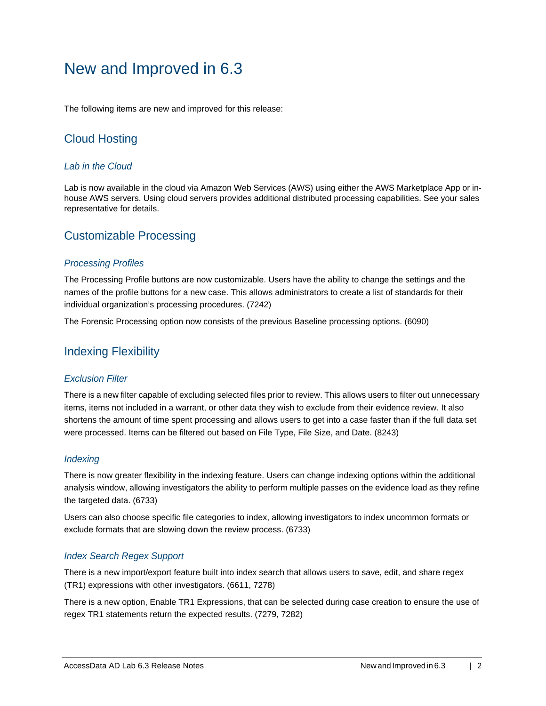# New and Improved in 6.3

The following items are new and improved for this release:

# Cloud Hosting

## *Lab in the Cloud*

Lab is now available in the cloud via Amazon Web Services (AWS) using either the AWS Marketplace App or inhouse AWS servers. Using cloud servers provides additional distributed processing capabilities. See your sales representative for details.

# Customizable Processing

### *Processing Profiles*

The Processing Profile buttons are now customizable. Users have the ability to change the settings and the names of the profile buttons for a new case. This allows administrators to create a list of standards for their individual organization's processing procedures. (7242)

The Forensic Processing option now consists of the previous Baseline processing options. (6090)

# Indexing Flexibility

## *Exclusion Filter*

There is a new filter capable of excluding selected files prior to review. This allows users to filter out unnecessary items, items not included in a warrant, or other data they wish to exclude from their evidence review. It also shortens the amount of time spent processing and allows users to get into a case faster than if the full data set were processed. Items can be filtered out based on File Type, File Size, and Date. (8243)

## *Indexing*

There is now greater flexibility in the indexing feature. Users can change indexing options within the additional analysis window, allowing investigators the ability to perform multiple passes on the evidence load as they refine the targeted data. (6733)

Users can also choose specific file categories to index, allowing investigators to index uncommon formats or exclude formats that are slowing down the review process. (6733)

## *Index Search Regex Support*

There is a new import/export feature built into index search that allows users to save, edit, and share regex (TR1) expressions with other investigators. (6611, 7278)

There is a new option, Enable TR1 Expressions, that can be selected during case creation to ensure the use of regex TR1 statements return the expected results. (7279, 7282)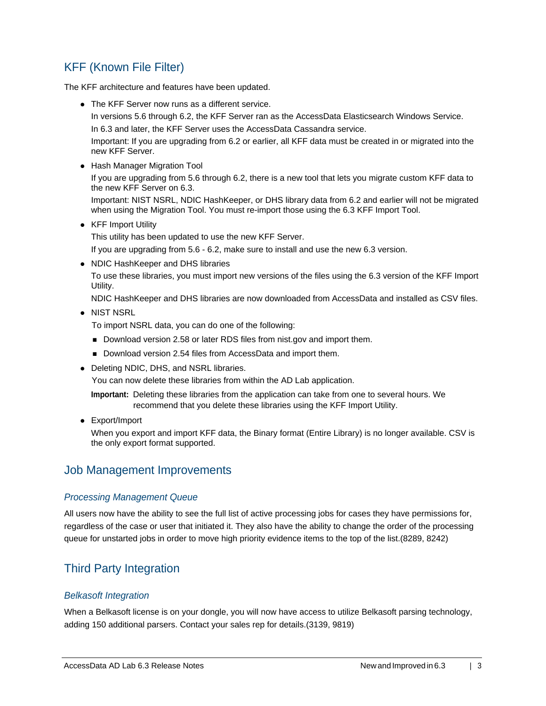# KFF (Known File Filter)

The KFF architecture and features have been updated.

The KFF Server now runs as a different service.

In versions 5.6 through 6.2, the KFF Server ran as the AccessData Elasticsearch Windows Service. In 6.3 and later, the KFF Server uses the AccessData Cassandra service.

Important: If you are upgrading from 6.2 or earlier, all KFF data must be created in or migrated into the new KFF Server.

Hash Manager Migration Tool

If you are upgrading from 5.6 through 6.2, there is a new tool that lets you migrate custom KFF data to the new KFF Server on 6.3.

Important: NIST NSRL, NDIC HashKeeper, or DHS library data from 6.2 and earlier will not be migrated when using the Migration Tool. You must re-import those using the 6.3 KFF Import Tool.

• KFF Import Utility

This utility has been updated to use the new KFF Server.

If you are upgrading from 5.6 - 6.2, make sure to install and use the new 6.3 version.

• NDIC HashKeeper and DHS libraries

To use these libraries, you must import new versions of the files using the 6.3 version of the KFF Import Utility.

NDIC HashKeeper and DHS libraries are now downloaded from AccessData and installed as CSV files.

• NIST NSRL

To import NSRL data, you can do one of the following:

- Download version 2.58 or later RDS files from nist.gov and import them.
- Download version 2.54 files from AccessData and import them.
- Deleting NDIC, DHS, and NSRL libraries.

You can now delete these libraries from within the AD Lab application.

**Important:** Deleting these libraries from the application can take from one to several hours. We recommend that you delete these libraries using the KFF Import Utility.

Export/Import

When you export and import KFF data, the Binary format (Entire Library) is no longer available. CSV is the only export format supported.

# Job Management Improvements

## *Processing Management Queue*

All users now have the ability to see the full list of active processing jobs for cases they have permissions for, regardless of the case or user that initiated it. They also have the ability to change the order of the processing queue for unstarted jobs in order to move high priority evidence items to the top of the list.(8289, 8242)

# Third Party Integration

## *Belkasoft Integration*

When a Belkasoft license is on your dongle, you will now have access to utilize Belkasoft parsing technology, adding 150 additional parsers. Contact your sales rep for details.(3139, 9819)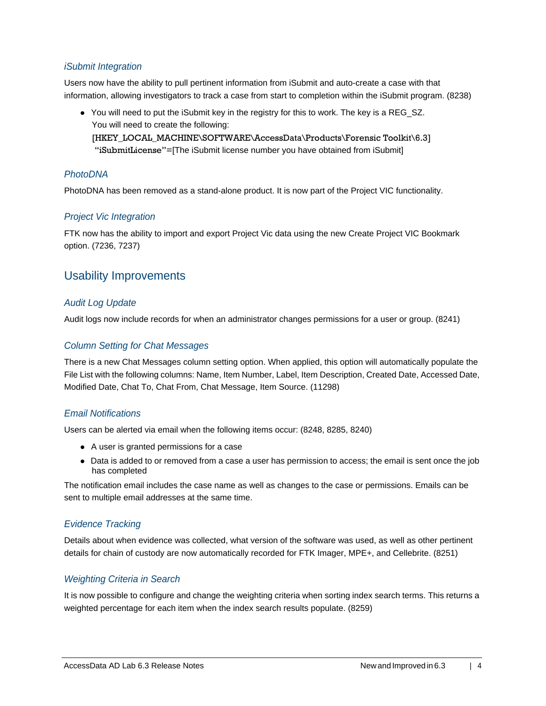# *iSubmit Integration*

Users now have the ability to pull pertinent information from iSubmit and auto-create a case with that information, allowing investigators to track a case from start to completion within the iSubmit program. (8238)

You will need to put the iSubmit key in the registry for this to work. The key is a REG\_SZ. You will need to create the following:

[HKEY\_LOCAL\_MACHINE\SOFTWARE\AccessData\Products\Forensic Toolkit\6.3] "iSubmitLicense"=[The iSubmit license number you have obtained from iSubmit]

## *PhotoDNA*

PhotoDNA has been removed as a stand-alone product. It is now part of the Project VIC functionality.

# *Project Vic Integration*

FTK now has the ability to import and export Project Vic data using the new Create Project VIC Bookmark option. (7236, 7237)

# Usability Improvements

# *Audit Log Update*

Audit logs now include records for when an administrator changes permissions for a user or group. (8241)

# *Column Setting for Chat Messages*

There is a new Chat Messages column setting option. When applied, this option will automatically populate the File List with the following columns: Name, Item Number, Label, Item Description, Created Date, Accessed Date, Modified Date, Chat To, Chat From, Chat Message, Item Source. (11298)

## *Email Notifications*

Users can be alerted via email when the following items occur: (8248, 8285, 8240)

- A user is granted permissions for a case
- Data is added to or removed from a case a user has permission to access; the email is sent once the job has completed

The notification email includes the case name as well as changes to the case or permissions. Emails can be sent to multiple email addresses at the same time.

# *Evidence Tracking*

Details about when evidence was collected, what version of the software was used, as well as other pertinent details for chain of custody are now automatically recorded for FTK Imager, MPE+, and Cellebrite. (8251)

# *Weighting Criteria in Search*

It is now possible to configure and change the weighting criteria when sorting index search terms. This returns a weighted percentage for each item when the index search results populate. (8259)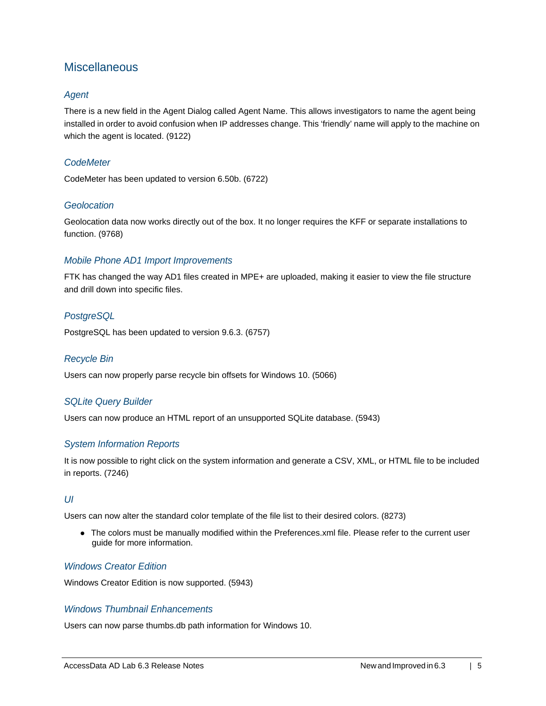# **Miscellaneous**

# *Agent*

There is a new field in the Agent Dialog called Agent Name. This allows investigators to name the agent being installed in order to avoid confusion when IP addresses change. This 'friendly' name will apply to the machine on which the agent is located. (9122)

### *CodeMeter*

CodeMeter has been updated to version 6.50b. (6722)

### *Geolocation*

Geolocation data now works directly out of the box. It no longer requires the KFF or separate installations to function. (9768)

### *Mobile Phone AD1 Import Improvements*

FTK has changed the way AD1 files created in MPE+ are uploaded, making it easier to view the file structure and drill down into specific files.

### *PostgreSQL*

PostgreSQL has been updated to version 9.6.3. (6757)

#### *Recycle Bin*

Users can now properly parse recycle bin offsets for Windows 10. (5066)

## *SQLite Query Builder*

Users can now produce an HTML report of an unsupported SQLite database. (5943)

## *System Information Reports*

It is now possible to right click on the system information and generate a CSV, XML, or HTML file to be included in reports. (7246)

### *UI*

Users can now alter the standard color template of the file list to their desired colors. (8273)

The colors must be manually modified within the Preferences.xml file. Please refer to the current user guide for more information.

### *Windows Creator Edition*

Windows Creator Edition is now supported. (5943)

## *Windows Thumbnail Enhancements*

Users can now parse thumbs.db path information for Windows 10.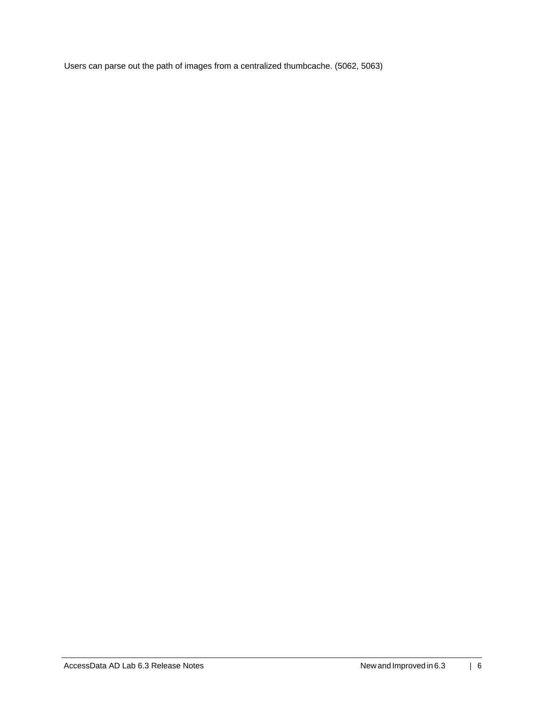Users can parse out the path of images from a centralized thumbcache. (5062, 5063)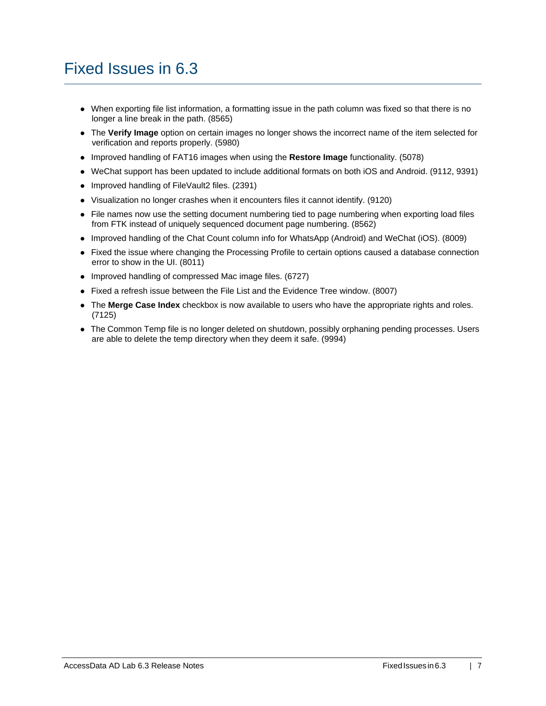# Fixed Issues in 6.3

- When exporting file list information, a formatting issue in the path column was fixed so that there is no longer a line break in the path. (8565)
- The **Verify Image** option on certain images no longer shows the incorrect name of the item selected for verification and reports properly. (5980)
- Improved handling of FAT16 images when using the **Restore Image** functionality. (5078)
- WeChat support has been updated to include additional formats on both iOS and Android. (9112, 9391)
- Improved handling of FileVault2 files. (2391)
- Visualization no longer crashes when it encounters files it cannot identify. (9120)
- File names now use the setting document numbering tied to page numbering when exporting load files from FTK instead of uniquely sequenced document page numbering. (8562)
- Improved handling of the Chat Count column info for WhatsApp (Android) and WeChat (iOS). (8009)
- Fixed the issue where changing the Processing Profile to certain options caused a database connection error to show in the UI. (8011)
- Improved handling of compressed Mac image files. (6727)
- Fixed a refresh issue between the File List and the Evidence Tree window. (8007)
- The **Merge Case Index** checkbox is now available to users who have the appropriate rights and roles. (7125)
- The Common Temp file is no longer deleted on shutdown, possibly orphaning pending processes. Users are able to delete the temp directory when they deem it safe. (9994)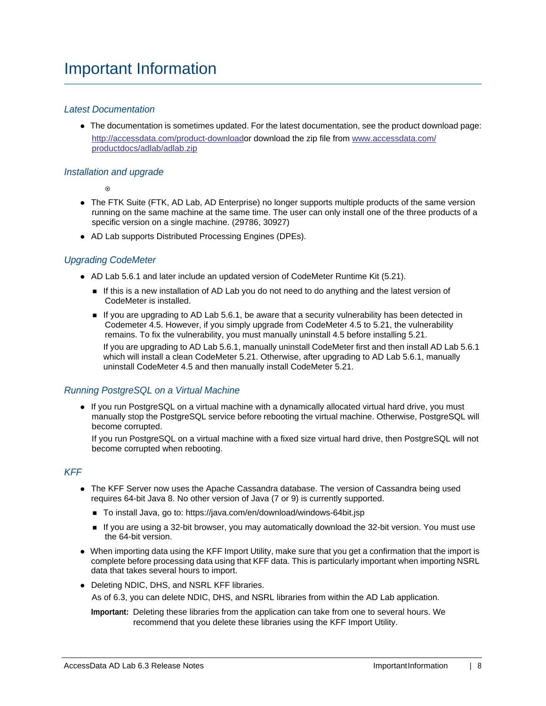## *Latest Documentation*

The documentation is sometimes updated. For the latest documentation, see the product download page: [http://accessdata.com/product-downloado](http://accessdata.com/product-download)r download the zip file from [www.accessdata.com/](www.accessdata.com/productdocs/adlab/adlab.zip) [productdocs/adlab/adlab.zip](www.accessdata.com/productdocs/adlab/adlab.zip)

### *Installation and upgrade*

 $\odot$ 

- The FTK Suite (FTK, AD Lab, AD Enterprise) no longer supports multiple products of the same version running on the same machine at the same time. The user can only install one of the three products of a specific version on a single machine. (29786, 30927)
- AD Lab supports Distributed Processing Engines (DPEs).

## *Upgrading CodeMeter*

- AD Lab 5.6.1 and later include an updated version of CodeMeter Runtime Kit (5.21).
	- If this is a new installation of AD Lab you do not need to do anything and the latest version of CodeMeter is installed.
	- If you are upgrading to AD Lab 5.6.1, be aware that a security vulnerability has been detected in Codemeter 4.5. However, if you simply upgrade from CodeMeter 4.5 to 5.21, the vulnerability remains. To fix the vulnerability, you must manually uninstall 4.5 before installing 5.21. If you are upgrading to AD Lab 5.6.1, manually uninstall CodeMeter first and then install AD Lab 5.6.1 which will install a clean CodeMeter 5.21. Otherwise, after upgrading to AD Lab 5.6.1, manually uninstall CodeMeter 4.5 and then manually install CodeMeter 5.21.

## *Running PostgreSQL on a Virtual Machine*

• If you run PostgreSQL on a virtual machine with a dynamically allocated virtual hard drive, you must manually stop the PostgreSQL service before rebooting the virtual machine. Otherwise, PostgreSQL will become corrupted.

If you run PostgreSQL on a virtual machine with a fixed size virtual hard drive, then PostgreSQL will not become corrupted when rebooting.

## *KFF*

- The KFF Server now uses the Apache Cassandra database. The version of Cassandra being used requires 64-bit Java 8. No other version of Java (7 or 9) is currently supported.
	- To install Java, go to: https://java.com/en/download/windows-64bit.jsp
	- If you are using a 32-bit browser, you may automatically download the 32-bit version. You must use the 64-bit version.
- When importing data using the KFF Import Utility, make sure that you get a confirmation that the import is complete before processing data using that KFF data. This is particularly important when importing NSRL data that takes several hours to import.
- Deleting NDIC, DHS, and NSRL KFF libraries.

As of 6.3, you can delete NDIC, DHS, and NSRL libraries from within the AD Lab application.

**Important:** Deleting these libraries from the application can take from one to several hours. We recommend that you delete these libraries using the KFF Import Utility.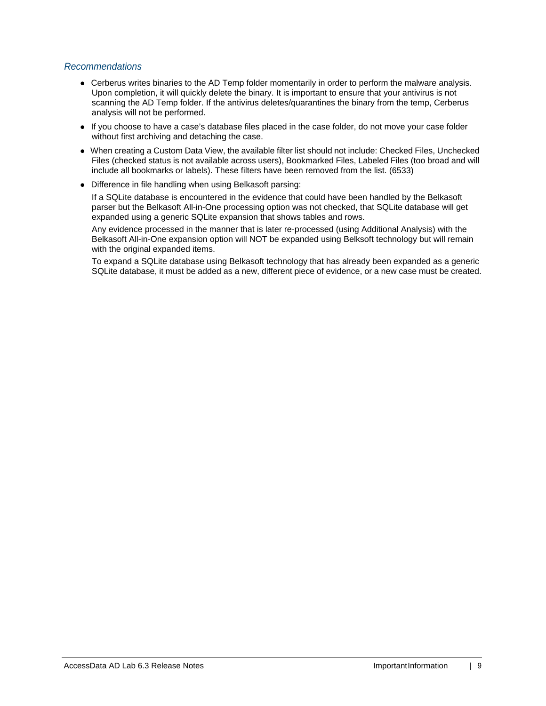## *Recommendations*

- Cerberus writes binaries to the AD Temp folder momentarily in order to perform the malware analysis. Upon completion, it will quickly delete the binary. It is important to ensure that your antivirus is not scanning the AD Temp folder. If the antivirus deletes/quarantines the binary from the temp, Cerberus analysis will not be performed.
- If you choose to have a case's database files placed in the case folder, do not move your case folder without first archiving and detaching the case.
- When creating a Custom Data View, the available filter list should not include: Checked Files, Unchecked Files (checked status is not available across users), Bookmarked Files, Labeled Files (too broad and will include all bookmarks or labels). These filters have been removed from the list. (6533)
- Difference in file handling when using Belkasoft parsing:

If a SQLite database is encountered in the evidence that could have been handled by the Belkasoft parser but the Belkasoft All-in-One processing option was not checked, that SQLite database will get expanded using a generic SQLite expansion that shows tables and rows.

Any evidence processed in the manner that is later re-processed (using Additional Analysis) with the Belkasoft All-in-One expansion option will NOT be expanded using Belksoft technology but will remain with the original expanded items.

To expand a SQLite database using Belkasoft technology that has already been expanded as a generic SQLite database, it must be added as a new, different piece of evidence, or a new case must be created.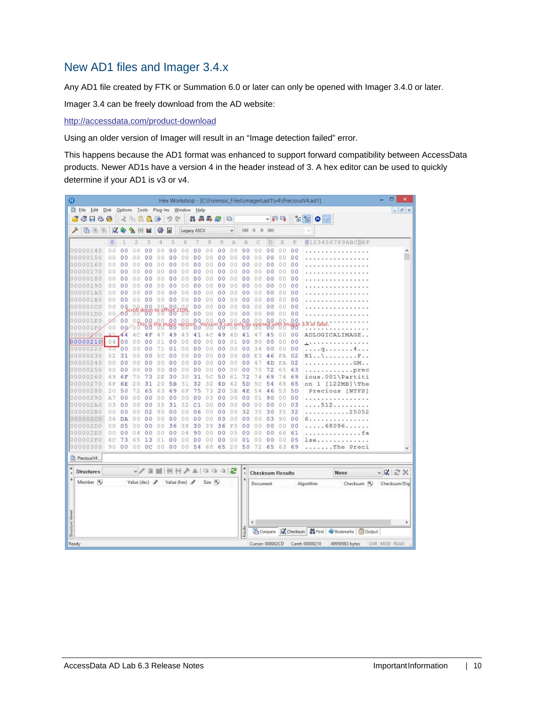# New AD1 files and Imager 3.4.x

Any AD1 file created by FTK or Summation 6.0 or later can only be opened with Imager 3.4.0 or later.

Imager 3.4 can be freely download from the AD website:

<http://accessdata.com/product-download>

Using an older version of Imager will result in an "Image detection failed" error.

This happens because the AD1 format was enhanced to support forward compatibility between AccessData products. Newer AD1s have a version 4 in the header instead of 3. A hex editor can be used to quickly determine if your AD1 is v3 or v4.

| Ø                | ۰<br>$\boldsymbol{\mathsf{x}}$<br>Hex Workshop - [C:\Forensic_Files\images\ad1\v4\PreciousV4.ad1] |                |                |                                    |                |           |                      |                 |                |                |                |                |                              |                         |                |                |                |                                                          |                      |
|------------------|---------------------------------------------------------------------------------------------------|----------------|----------------|------------------------------------|----------------|-----------|----------------------|-----------------|----------------|----------------|----------------|----------------|------------------------------|-------------------------|----------------|----------------|----------------|----------------------------------------------------------|----------------------|
|                  | Eile Edit Disk                                                                                    |                |                | Options Tools Plug-Ins Window Help |                |           |                      |                 |                |                |                |                |                              |                         |                |                |                |                                                          | $  \in$ $x$          |
|                  | 6 F & #                                                                                           |                |                | 《毛星代国                              |                |           | 吵                    | e               |                | 品品品色           |                | 唱              |                              |                         | ↓日吗            |                |                | $\frac{1}{\sqrt{2}}\sum_{i=1}^{\infty}$<br>٥<br>$\equiv$ |                      |
| ₽                | 临海路                                                                                               | $\mathcal{A}$  |                |                                    |                | 镲         | 匣                    |                 | Legacy ASCII   |                |                | ٧              | 988                          |                         |                |                |                |                                                          |                      |
|                  |                                                                                                   | $\circ$        |                | 2                                  | 3              | 4         | 5                    | 6               |                | 8              | 9              | A              | B                            |                         | D              | Ē              | F              | 0123456789ABCDEF                                         |                      |
|                  | 00000140                                                                                          | 0 <sub>0</sub> | 0 <sup>0</sup> | O                                  | 0 <sub>0</sub> | 0.0       | 0 <sub>0</sub>       | 0.O             | 00             | 00             | 00             | 00             | 0 <sub>0</sub>               | 0<br>Ð                  | 0 <sub>0</sub> | 00             | 00             |                                                          | ۸                    |
|                  | 00000150                                                                                          | 00             | 0<br>0         | 0                                  | 0<br>$\circ$   | Û.<br>0   | 0<br>0               | 0<br>0          | 0 <sup>0</sup> | 00             | 0 <sup>0</sup> | $\theta$<br>0  | 0 <sup>0</sup>               | 0<br>0                  | 00             | 00             | 00             |                                                          |                      |
|                  | 00000160                                                                                          | 00             | 0 <sub>0</sub> | 0                                  | 0 <sup>0</sup> | 00        | 0 <sub>0</sub>       | 00              | 0 <sup>0</sup> | 00             | 0 <sub>0</sub> | 0.0            | 0 <sup>0</sup>               | $\theta$<br>$\Omega$    | 00             | 0.0            | 0 <sub>0</sub> |                                                          |                      |
|                  | 00000170                                                                                          | 00             | 00             | Ð                                  | 00             | 00        | 0 <sup>0</sup>       | 00              | 0 <sub>0</sub> | 00             | 0 <sup>0</sup> | 00             | 00                           | 00                      | 00             | 00             | 00             |                                                          |                      |
|                  | 00000180                                                                                          | 00             | 00             | 0                                  | 00             | 00        | 0<br>0               | 00              | 0<br>0         | 00             | 00             | 0.0            | 00                           | 00                      | 00             | 0.0            | 00             |                                                          |                      |
|                  | 00000190                                                                                          | 00             | o<br>O         | ο                                  | oο             | 00        | 00                   | 00              | 00             | 0.0            | 0 <sub>0</sub> | 0.0            | 00                           | 00                      | 00             | 0.0            | 00             |                                                          |                      |
|                  | 000001A0                                                                                          | 00             | 0<br>0         |                                    | 0 <sub>0</sub> | o.        | 0<br>0               | 00              | $\circ$<br>0   | 00             | 0 <sub>0</sub> | 00             | 0 <sub>0</sub>               | 0<br>0                  | 00             | 00             | 0 <sup>0</sup> |                                                          |                      |
|                  | 000001B0                                                                                          | 0.0            | 00             | $\circ$<br>0                       | 0 <sup>0</sup> | 00        | 00                   | 00              | 00             | 00             | 0 <sup>0</sup> | O<br>Ð         | 00                           | 0<br>$\Omega$           | 00             | 00             | 00             |                                                          |                      |
|                  | 000001C0                                                                                          | 00             | 0Q             |                                    | 0 <sup>0</sup> |           | 0 <sup>0</sup>       |                 | 00             | 00             | 00             | 00             | 0 <sub>0</sub>               | 00                      | 00             | 0 <sub>0</sub> | 00             |                                                          |                      |
|                  | 000001D0                                                                                          | 00             | 00             | <b>Bu</b> down                     |                | $^{188}$  | .00                  | -88             | 0 <sup>0</sup> | 00             | 0 <sup>0</sup> | 00             | 0 <sup>0</sup>               | 00                      | 0 <sup>0</sup> | 00             | 00             |                                                          |                      |
| 10.0             | 0001E0                                                                                            | OO.            | 00             | 00.                                | 0.0            | 00.       | 0 <sub>0</sub>       | 0.0             | 0Q             | 0.0            | 0.0            | 0 <sub>0</sub> | 0,0                          | 00                      | 00             | o<br>0         | 0 <sub>0</sub> | $4$ or                                                   |                      |
|                  | 000001F0                                                                                          | 00             |                | 00000                              | ত ত            |           |                      |                 | 00             |                | 00             |                | 00                           |                         | őσ             |                | ₩              |                                                          |                      |
|                  | 00000200                                                                                          |                | 44             |                                    | 4 F            | 4         | 49                   | 43              | 41             | 4 C            | 49             | 4 D            | 41                           | 4                       | 45             | 0 <sub>0</sub> | 00             | ADLOGICALIMAG                                            |                      |
|                  | 00000210                                                                                          |                | 04 00          | 0<br>0                             | 0 <sup>0</sup> | 01        | 0 <sup>0</sup>       | 00              | 0 <sup>0</sup> | 00             | 00             | 01             | 0 <sub>0</sub>               | 9<br>$\theta$           | $^{00}$        | 0 <sub>0</sub> | 00             |                                                          |                      |
|                  | 00000220                                                                                          | υU             | 0 <sub>0</sub> |                                    | 00             | 71        | 01                   | 00              | 00             | 00             | 00             | 0 <sub>0</sub> | 0 <sub>0</sub>               | 34                      | 00             | 0 <sub>0</sub> | 0 <sub>0</sub> | a                                                        |                      |
|                  | 00000230                                                                                          | 52             | 31             | 0<br>n                             | 00             | 5<br>Ċ    | 00                   | 00              | 00             | 00             | 00             | 00             | 0 <sub>0</sub>               | 3<br>E                  | 46             | FA             | 02             | R1.                                                      |                      |
|                  | 00000240                                                                                          | 0 <sub>0</sub> | 0 <sup>0</sup> | 0<br>Ω                             | 00             | 00        | 0 <sub>0</sub>       | 00              | 0 <sub>0</sub> | 00             | 00             | 00             | 00                           | 4                       | 4D             | FA             | 02             | $.$ $GM.$ .                                              |                      |
|                  | 00000250                                                                                          | 00             | 00             | 0<br>Ð                             | 00             | 00        | 00                   | 00              | 00             | 00             | 00             | 00             | 00                           | 70                      | 72             | 65             | 63             | .prec                                                    |                      |
|                  | 00000260                                                                                          | 69             | 6F             | 75                                 | 73             | 2E        | 30                   | 30              | 31             | 5c             | 50             | 61             | 72                           | 74                      | 69             | 74             | 69             | ious.001\Partiti                                         |                      |
|                  | 00000270                                                                                          | 6F             | 6E             | 2                                  | 31             | 20        | 5B                   | 31              | 32             | 32             | 4D             | 42             | 5 <sub>D</sub>               | 5<br>с                  | 54             | 68             | 65             | $\mathbf{1}$<br>$[122MB]$ The<br>on                      |                      |
|                  | 00000280                                                                                          | 20             | 50             | 72                                 | 65             | 63        | 69                   | 6F              | 75             | 73             | 20             | 5B             | 4E                           | 54                      | 46             | 53             | 5 <sub>D</sub> | Precious [NTFS]                                          |                      |
|                  | 00000290                                                                                          | A7             | 00             | 00                                 | 00             | 00        | 00                   | 00              | 0<br>о         | 03             | 00             | 0.0            | 00                           | 01                      | 90             | 0 <sup>0</sup> | 00             |                                                          |                      |
|                  | 000002A0                                                                                          | 03             | 00             | 0<br>0                             | 00             | 35        | 31                   | 32              | C1             | 00             | 00             | 00             | 00                           | 00                      | 00             | 00             | 03             | 512                                                      |                      |
|                  | 000002B0<br>000002C0                                                                              | 00<br>36       | 00             | 0<br>Ð                             | 02<br>00       | 90<br>0.0 | 0 <sup>0</sup><br>00 | 0.0<br>00       | 06             | 00<br>00       | 00<br>03       | 00<br>0<br>0   | 32<br>00                     | 35                      | 30<br>03       | 35             | 32<br>00       | .25052<br>$-1$<br>and and                                |                      |
|                  | 000002D0                                                                                          | 00             | DA<br>05       | 0<br>0<br>0<br>0                   | 0 <sup>0</sup> | 0.0       | 36                   | 38              | 00<br>30       | 39             | 36             | F3             | 0 <sub>0</sub>               | 0<br>0<br>0<br>$\theta$ | 0 <sup>0</sup> | 90<br>0.0      | 00             | .<br>.68096.                                             |                      |
|                  | 000002E0                                                                                          | 00             | 00             |                                    | 00             |           | 0 <sub>0</sub>       | 04              | 90             | 0 <sup>0</sup> | 00             | 0<br>5         | 00                           | 0                       | 00             | 66             | 61             |                                                          |                      |
|                  | 000002F0                                                                                          | 6С             | 73             | 6<br>5                             | 13             | 0         | 00                   | 00              | 00             | 00             | 0 <sub>0</sub> | 00             | 01                           | 0<br>0                  | 0 <sup>0</sup> | 00             | 05             | 1se                                                      |                      |
|                  | 00000300                                                                                          | 90             | 00             | 00                                 | 0 <sup>c</sup> | 00        | 0 <sub>0</sub>       | 00              | 54             | 68             | 65             | 20             | 50                           | 72                      | 65             | 63             | 69             | $\ldots$ The<br>Preci                                    |                      |
|                  |                                                                                                   |                |                |                                    |                |           |                      |                 |                |                |                |                |                              |                         |                |                |                |                                                          |                      |
|                  | Precious V4.                                                                                      |                |                |                                    |                |           |                      |                 |                |                |                |                |                              |                         |                |                |                |                                                          |                      |
| ×                | <b>Structures</b>                                                                                 |                |                |                                    | v/目            |           |                      | MHHAA 10 10 3 2 |                |                |                |                | $\pmb{\times}$<br>$\epsilon$ | <b>Checksum Results</b> |                |                |                | None                                                     | $\vee$ X $\approx$ X |
|                  | Member <sub>16</sub>                                                                              |                |                | Value (dec) $\rho$                 |                |           |                      | Value (hex) /   |                | Size In        |                |                | $\ddot{\Phi}$                | Document                |                |                |                | Checksum 10<br>Algorithm                                 | Checksum/Dig         |
|                  |                                                                                                   |                |                |                                    |                |           |                      |                 |                |                |                |                |                              |                         |                |                |                |                                                          |                      |
|                  |                                                                                                   |                |                |                                    |                |           |                      |                 |                |                |                |                |                              |                         |                |                |                |                                                          |                      |
| Structure Viewer |                                                                                                   |                |                |                                    |                |           |                      |                 |                |                |                |                |                              | ¢                       |                |                |                |                                                          | $\rightarrow$        |
|                  |                                                                                                   |                |                |                                    |                |           |                      |                 |                |                |                |                | Readts                       |                         |                |                |                | Compare W Checksum   19 Find   Bookmarks   B Output      |                      |
|                  | Ready<br>Cursor: 000002CD<br>Caret: 00000210<br>49958983 bytes<br>OVR MOD READ                    |                |                |                                    |                |           |                      |                 |                |                |                |                |                              |                         |                |                |                |                                                          |                      |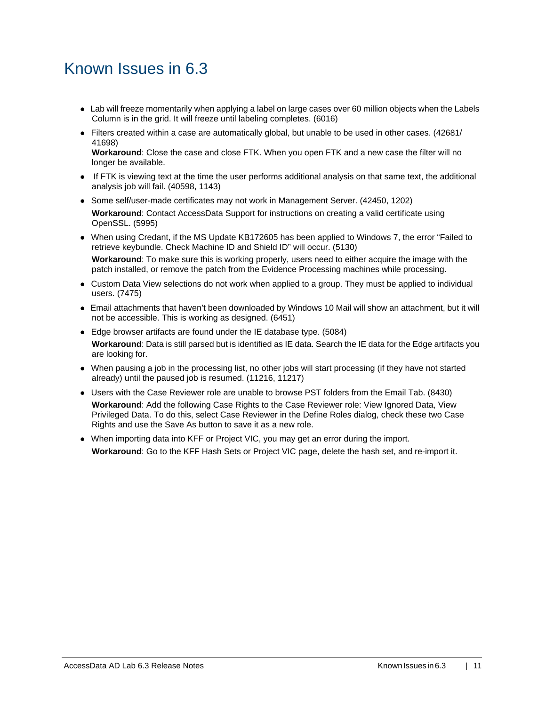# Known Issues in 6.3

- Lab will freeze momentarily when applying a label on large cases over 60 million objects when the Labels Column is in the grid. It will freeze until labeling completes. (6016)
- Filters created within a case are automatically global, but unable to be used in other cases. (42681/ 41698)

**Workaround**: Close the case and close FTK. When you open FTK and a new case the filter will no longer be available.

- If FTK is viewing text at the time the user performs additional analysis on that same text, the additional analysis job will fail. (40598, 1143)
- Some self/user-made certificates may not work in Management Server. (42450, 1202) **Workaround**: Contact AccessData Support for instructions on creating a valid certificate using OpenSSL. (5995)
- When using Credant, if the MS Update KB172605 has been applied to Windows 7, the error "Failed to retrieve keybundle. Check Machine ID and Shield ID" will occur. (5130)

**Workaround**: To make sure this is working properly, users need to either acquire the image with the patch installed, or remove the patch from the Evidence Processing machines while processing.

- Custom Data View selections do not work when applied to a group. They must be applied to individual users. (7475)
- Email attachments that haven't been downloaded by Windows 10 Mail will show an attachment, but it will not be accessible. This is working as designed. (6451)
- Edge browser artifacts are found under the IE database type. (5084) **Workaround**: Data is still parsed but is identified as IE data. Search the IE data for the Edge artifacts you are looking for.
- When pausing a job in the processing list, no other jobs will start processing (if they have not started already) until the paused job is resumed. (11216, 11217)
- Users with the Case Reviewer role are unable to browse PST folders from the Email Tab. (8430) **Workaround**: Add the following Case Rights to the Case Reviewer role: View Ignored Data, View Privileged Data. To do this, select Case Reviewer in the Define Roles dialog, check these two Case Rights and use the Save As button to save it as a new role.
- When importing data into KFF or Project VIC, you may get an error during the import. **Workaround**: Go to the KFF Hash Sets or Project VIC page, delete the hash set, and re-import it.